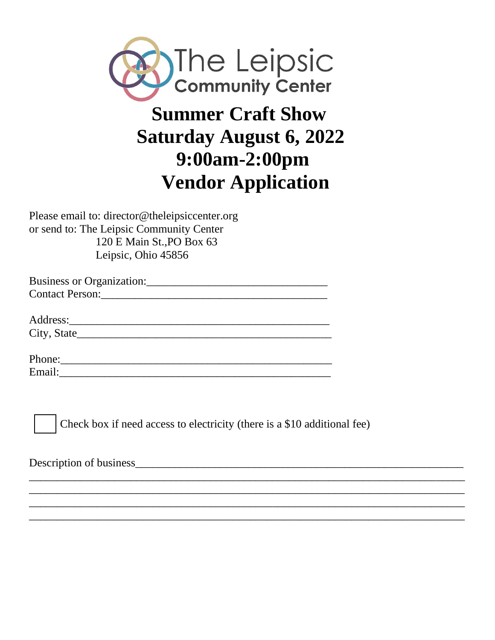

## **Summer Craft Show Saturday August 6, 2022 9:00am-2:00pm Vendor Application**

Please email to: director@theleipsiccenter.org or send to: The Leipsic Community Center 120 E Main St.,PO Box 63 Leipsic, Ohio 45856

| <b>Business or Organization:</b> |  |
|----------------------------------|--|
| <b>Contact Person:</b>           |  |

Address:\_\_\_\_\_\_\_\_\_\_\_\_\_\_\_\_\_\_\_\_\_\_\_\_\_\_\_\_\_\_\_\_\_\_\_\_\_\_\_\_\_\_\_\_\_\_ City, State\_\_\_\_\_\_\_\_\_\_\_\_\_\_\_\_\_\_\_\_\_\_\_\_\_\_\_\_\_\_\_\_\_\_\_\_\_\_\_\_\_\_\_\_\_

| Phone: |  |  |  |
|--------|--|--|--|
| Email: |  |  |  |



Check box if need access to electricity (there is a \$10 additional fee)

\_\_\_\_\_\_\_\_\_\_\_\_\_\_\_\_\_\_\_\_\_\_\_\_\_\_\_\_\_\_\_\_\_\_\_\_\_\_\_\_\_\_\_\_\_\_\_\_\_\_\_\_\_\_\_\_\_\_\_\_\_\_\_\_\_\_\_\_\_\_\_\_\_\_\_\_\_ \_\_\_\_\_\_\_\_\_\_\_\_\_\_\_\_\_\_\_\_\_\_\_\_\_\_\_\_\_\_\_\_\_\_\_\_\_\_\_\_\_\_\_\_\_\_\_\_\_\_\_\_\_\_\_\_\_\_\_\_\_\_\_\_\_\_\_\_\_\_\_\_\_\_\_\_\_ \_\_\_\_\_\_\_\_\_\_\_\_\_\_\_\_\_\_\_\_\_\_\_\_\_\_\_\_\_\_\_\_\_\_\_\_\_\_\_\_\_\_\_\_\_\_\_\_\_\_\_\_\_\_\_\_\_\_\_\_\_\_\_\_\_\_\_\_\_\_\_\_\_\_\_\_\_ \_\_\_\_\_\_\_\_\_\_\_\_\_\_\_\_\_\_\_\_\_\_\_\_\_\_\_\_\_\_\_\_\_\_\_\_\_\_\_\_\_\_\_\_\_\_\_\_\_\_\_\_\_\_\_\_\_\_\_\_\_\_\_\_\_\_\_\_\_\_\_\_\_\_\_\_\_

Description of business\_\_\_\_\_\_\_\_\_\_\_\_\_\_\_\_\_\_\_\_\_\_\_\_\_\_\_\_\_\_\_\_\_\_\_\_\_\_\_\_\_\_\_\_\_\_\_\_\_\_\_\_\_\_\_\_\_\_